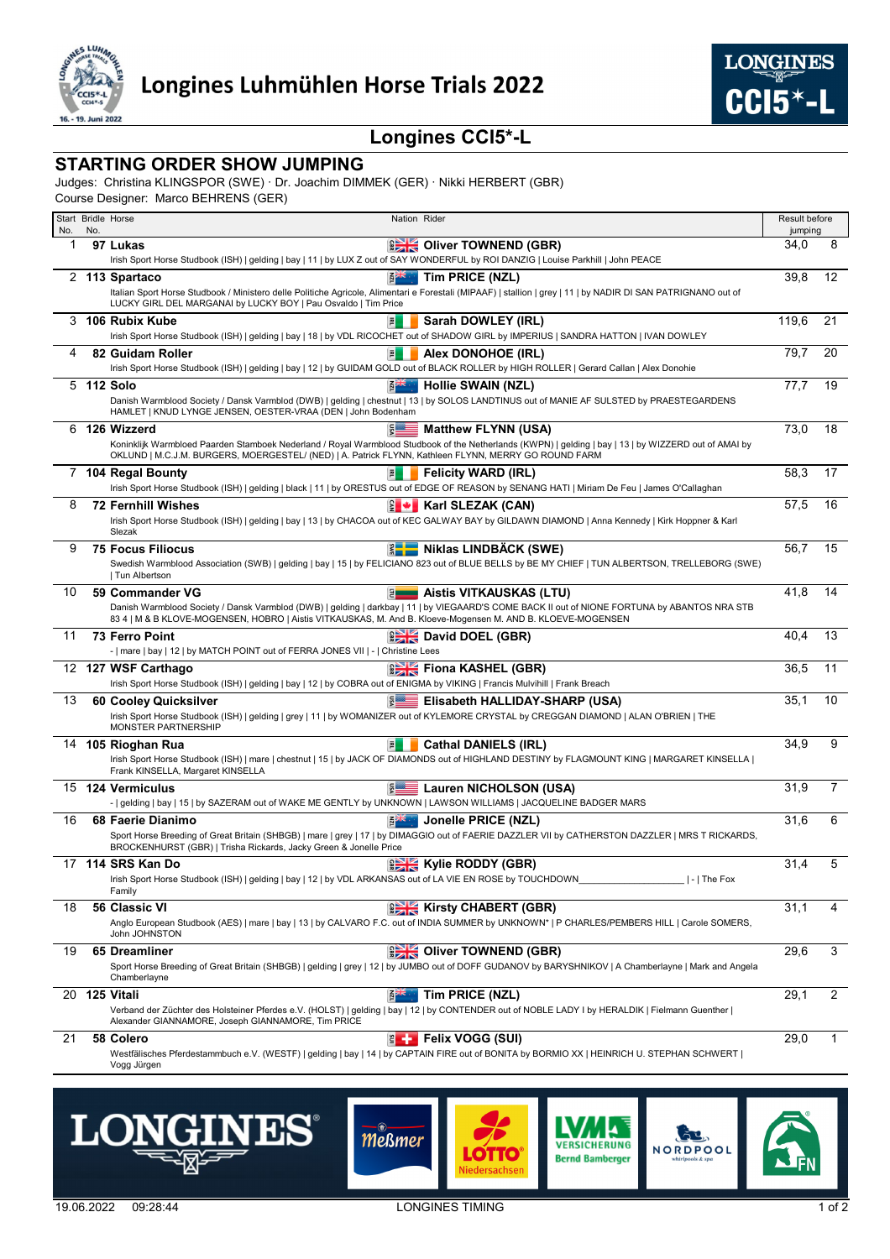



## **Longines CCI5\*-L**

## **STARTING ORDER SHOW JUMPING**

Judges: Christina KLINGSPOR (SWE) · Dr. Joachim DIMMEK (GER) · Nikki HERBERT (GBR)

Course Designer: Marco BEHRENS (GER)

|     |     | Start Bridle Horse<br>Nation Rider                                                                                                                                                                                                                            | Result before |         |                |
|-----|-----|---------------------------------------------------------------------------------------------------------------------------------------------------------------------------------------------------------------------------------------------------------------|---------------|---------|----------------|
| No. | No. |                                                                                                                                                                                                                                                               |               | jumping |                |
| 1   |     | <b>BER</b> Oliver TOWNEND (GBR)<br>97 Lukas                                                                                                                                                                                                                   | 34,0          |         | 8              |
|     |     | Irish Sport Horse Studbook (ISH)   gelding   bay   11   by LUX Z out of SAY WONDERFUL by ROI DANZIG   Louise Parkhill   John PEACE                                                                                                                            |               |         |                |
|     |     | Tim PRICE (NZL)<br>2 113 Spartaco<br><b>REAL</b>                                                                                                                                                                                                              | 39,8          |         | 12             |
|     |     | Italian Sport Horse Studbook / Ministero delle Politiche Agricole, Alimentari e Forestali (MIPAAF)   stallion   grey   11   by NADIR DI SAN PATRIGNANO out of<br>LUCKY GIRL DEL MARGANAI by LUCKY BOY   Pau Osvaldo   Tim Price                               |               |         |                |
| 3   |     | 106 Rubix Kube<br>Sarah DOWLEY (IRL)<br>퇸                                                                                                                                                                                                                     | 119,6         |         | 21             |
|     |     | Irish Sport Horse Studbook (ISH)   gelding   bay   18   by VDL RICOCHET out of SHADOW GIRL by IMPERIUS   SANDRA HATTON   IVAN DOWLEY                                                                                                                          |               |         |                |
| 4   |     | 82 Guidam Roller<br>Alex DONOHOE (IRL)<br>凮                                                                                                                                                                                                                   | 79,7          |         | 20             |
|     |     | Irish Sport Horse Studbook (ISH)   gelding   bay   12   by GUIDAM GOLD out of BLACK ROLLER by HIGH ROLLER   Gerard Callan   Alex Donohie                                                                                                                      |               |         |                |
|     |     | 5 112 Solo<br><b>EZA</b><br><b>Hollie SWAIN (NZL)</b>                                                                                                                                                                                                         | 77.7          |         | 19             |
|     |     | Danish Warmblood Society / Dansk Varmblod (DWB)   gelding   chestnut   13   by SOLOS LANDTINUS out of MANIE AF SULSTED by PRAESTEGARDENS                                                                                                                      |               |         |                |
|     |     | HAMLET   KNUD LYNGE JENSEN, OESTER-VRAA (DEN   John Bodenham                                                                                                                                                                                                  |               |         |                |
|     |     | 6 126 Wizzerd<br><b>Matthew FLYNN (USA)</b>                                                                                                                                                                                                                   | 73,0          |         | 18             |
|     |     | Koninklijk Warmbloed Paarden Stamboek Nederland / Royal Warmblood Studbook of the Netherlands (KWPN)   gelding   bay   13   by WIZZERD out of AMAI by<br>OKLUND   M.C.J.M. BURGERS, MOERGESTEL/ (NED)   A. Patrick FLYNN, Kathleen FLYNN, MERRY GO ROUND FARM |               |         |                |
|     |     | 7 104 Regal Bounty<br><b>Felicity WARD (IRL)</b><br>国                                                                                                                                                                                                         | 58,3          |         | 17             |
|     |     | Irish Sport Horse Studbook (ISH)   gelding   black   11   by ORESTUS out of EDGE OF REASON by SENANG HATI   Miriam De Feu   James O'Callaghan                                                                                                                 |               |         |                |
| 8   |     | <b>72 Fernhill Wishes</b><br>$\ \cdot\ $ Karl SLEZAK (CAN)                                                                                                                                                                                                    | 57,5          |         | 16             |
|     |     | Irish Sport Horse Studbook (ISH)   gelding   bay   13   by CHACOA out of KEC GALWAY BAY by GILDAWN DIAMOND   Anna Kennedy   Kirk Hoppner & Karl<br>Slezak                                                                                                     |               |         |                |
| 9   |     | <b>ENGINEER MIKIAS LINDBÄCK (SWE)</b><br><b>75 Focus Filiocus</b>                                                                                                                                                                                             | 56,7          |         | 15             |
|     |     | Swedish Warmblood Association (SWB)   gelding   bay   15   by FELICIANO 823 out of BLUE BELLS by BE MY CHIEF   TUN ALBERTSON, TRELLEBORG (SWE)                                                                                                                |               |         |                |
|     |     | Tun Albertson                                                                                                                                                                                                                                                 |               |         |                |
| 10  |     | <b>E</b> Aistis VITKAUSKAS (LTU)<br>59 Commander VG                                                                                                                                                                                                           | 41.8          |         | 14             |
|     |     | Danish Warmblood Society / Dansk Varmblod (DWB)   gelding   darkbay   11   by VIEGAARD'S COME BACK II out of NIONE FORTUNA by ABANTOS NRA STB                                                                                                                 |               |         |                |
|     |     | 83 4   M & B KLOVE-MOGENSEN, HOBRO   Aistis VITKAUSKAS, M. And B. Kloeve-Mogensen M. AND B. KLOEVE-MOGENSEN                                                                                                                                                   |               |         |                |
| 11  |     | <b>David DOEL (GBR)</b><br><b>73 Ferro Point</b><br>-   mare   bay   12   by MATCH POINT out of FERRA JONES VII   -   Christine Lees                                                                                                                          | 40,4          |         | 13             |
|     |     | <b>EXECUTE Fiona KASHEL (GBR)</b>                                                                                                                                                                                                                             | 36,5          |         | 11             |
|     |     | 12 127 WSF Carthago<br>Irish Sport Horse Studbook (ISH)   gelding   bay   12   by COBRA out of ENIGMA by VIKING   Francis Mulvihill   Frank Breach                                                                                                            |               |         |                |
| 13  |     | <b>ELISABET EISABETH HALLIDAY-SHARP (USA)</b><br>60 Cooley Quicksilver                                                                                                                                                                                        | 35,1          |         | 10             |
|     |     | Irish Sport Horse Studbook (ISH)   gelding   grey   11   by WOMANIZER out of KYLEMORE CRYSTAL by CREGGAN DIAMOND   ALAN O'BRIEN   THE                                                                                                                         |               |         |                |
|     |     | <b>MONSTER PARTNERSHIP</b>                                                                                                                                                                                                                                    |               |         |                |
| 14  |     | Cathal DANIELS (IRL)<br>105 Rioghan Rua<br>圖                                                                                                                                                                                                                  | 34,9          |         | 9              |
|     |     | Irish Sport Horse Studbook (ISH)   mare   chestnut   15   by JACK OF DIAMONDS out of HIGHLAND DESTINY by FLAGMOUNT KING   MARGARET KINSELLA  <br>Frank KINSELLA, Margaret KINSELLA                                                                            |               |         |                |
|     |     | 15 124 Vermiculus                                                                                                                                                                                                                                             | 31,9          |         | $\overline{7}$ |
|     |     | E Lauren NICHOLSON (USA)<br>-   gelding   bay   15   by SAZERAM out of WAKE ME GENTLY by UNKNOWN   LAWSON WILLIAMS   JACQUELINE BADGER MARS                                                                                                                   |               |         |                |
| 16  |     | Jonelle PRICE (NZL)<br>68 Faerie Dianimo                                                                                                                                                                                                                      | 31,6          |         | 6              |
|     |     | Sport Horse Breeding of Great Britain (SHBGB)   mare   grey   17   by DIMAGGIO out of FAERIE DAZZLER VII by CATHERSTON DAZZLER   MRS T RICKARDS,                                                                                                              |               |         |                |
|     |     | BROCKENHURST (GBR)   Trisha Rickards, Jacky Green & Jonelle Price                                                                                                                                                                                             |               |         |                |
|     |     | <b>EXECUTE Kylie RODDY (GBR)</b><br>17 114 SRS Kan Do                                                                                                                                                                                                         | 31,4          |         | 5              |
|     |     | Irish Sport Horse Studbook (ISH)   gelding   bay   12   by VDL ARKANSAS out of LA VIE EN ROSE by TOUCHDOWN<br>$ - $ The Fox                                                                                                                                   |               |         |                |
|     |     | Family                                                                                                                                                                                                                                                        |               |         |                |
| 18  |     | <b>EXECUTE Kirsty CHABERT (GBR)</b><br>56 Classic VI                                                                                                                                                                                                          | 31,1          |         | 4              |
|     |     | Anglo European Studbook (AES)   mare   bay   13   by CALVARO F.C. out of INDIA SUMMER by UNKNOWN*   P CHARLES/PEMBERS HILL   Carole SOMERS,<br>John JOHNSTON                                                                                                  |               |         |                |
| 19  |     | <b>CONSIDERED</b> (GBR)<br>65 Dreamliner                                                                                                                                                                                                                      | 29,6          |         | 3              |
|     |     | Sport Horse Breeding of Great Britain (SHBGB)   gelding   grey   12   by JUMBO out of DOFF GUDANOV by BARYSHNIKOV   A Chamberlayne   Mark and Angela                                                                                                          |               |         |                |
|     |     | Chamberlavne                                                                                                                                                                                                                                                  |               |         |                |
| 20  |     | Tim PRICE (NZL)<br>125 Vitali                                                                                                                                                                                                                                 | 29,1          |         | 2              |
|     |     | Verband der Züchter des Holsteiner Pferdes e.V. (HOLST)   gelding   bay   12   by CONTENDER out of NOBLE LADY   by HERALDIK   Fielmann Guenther  <br>Alexander GIANNAMORE, Joseph GIANNAMORE, Tim PRICE                                                       |               |         |                |
| 21  |     | <b>ELET Felix VOGG (SUI)</b><br>58 Colero                                                                                                                                                                                                                     | 29,0          |         | 1              |
|     |     | Westfälisches Pferdestammbuch e.V. (WESTF)   gelding   bay   14   by CAPTAIN FIRE out of BONITA by BORMIO XX   HEINRICH U. STEPHAN SCHWERT                                                                                                                    |               |         |                |
|     |     | Vogg Jürgen                                                                                                                                                                                                                                                   |               |         |                |